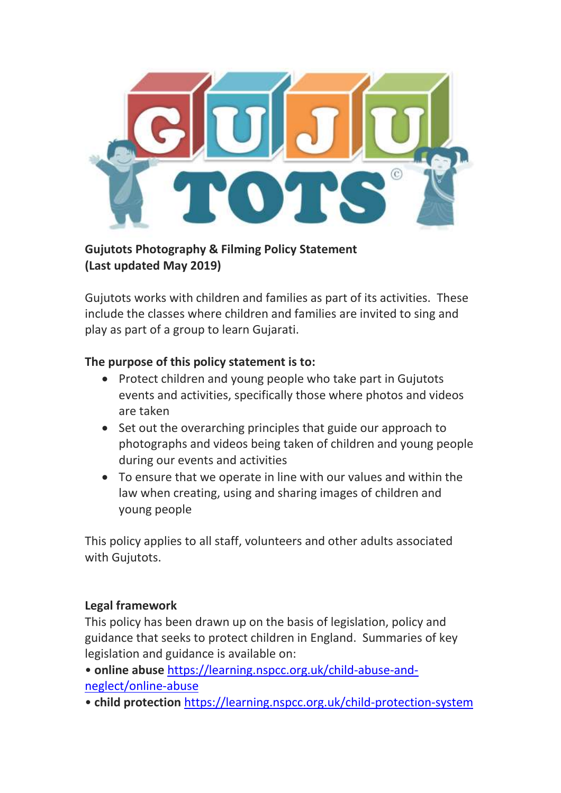

### **Gujutots Photography & Filming Policy Statement (Last updated May 2019)**

Gujutots works with children and families as part of its activities. These include the classes where children and families are invited to sing and play as part of a group to learn Gujarati.

### **The purpose of this policy statement is to:**

- Protect children and young people who take part in Gujutots events and activities, specifically those where photos and videos are taken
- Set out the overarching principles that guide our approach to photographs and videos being taken of children and young people during our events and activities
- To ensure that we operate in line with our values and within the law when creating, using and sharing images of children and young people

This policy applies to all staff, volunteers and other adults associated with Gujutots.

#### **Legal framework**

This policy has been drawn up on the basis of legislation, policy and guidance that seeks to protect children in England. Summaries of key legislation and guidance is available on:

• **online abuse** [https://learning.nspcc.org.uk/child-abuse-and](https://learning.nspcc.org.uk/child-abuse-and-neglect/online-abuse)[neglect/online-abuse](https://learning.nspcc.org.uk/child-abuse-and-neglect/online-abuse)

• **child protection** <https://learning.nspcc.org.uk/child-protection-system>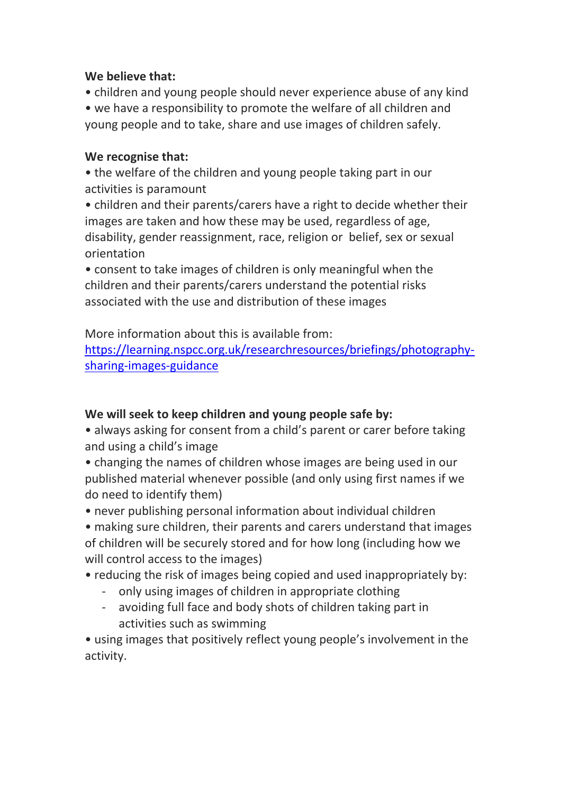### **We believe that:**

• children and young people should never experience abuse of any kind

• we have a responsibility to promote the welfare of all children and young people and to take, share and use images of children safely.

# **We recognise that:**

• the welfare of the children and young people taking part in our activities is paramount

• children and their parents/carers have a right to decide whether their images are taken and how these may be used, regardless of age, disability, gender reassignment, race, religion or belief, sex or sexual orientation

• consent to take images of children is only meaningful when the children and their parents/carers understand the potential risks associated with the use and distribution of these images

More information about this is available from:

[https://learning.nspcc.org.uk/researchresources/briefings/photography](https://learning.nspcc.org.uk/researchresources/briefings/photography-sharing-images-guidance)[sharing-images-guidance](https://learning.nspcc.org.uk/researchresources/briefings/photography-sharing-images-guidance)

# **We will seek to keep children and young people safe by:**

• always asking for consent from a child's parent or carer before taking and using a child's image

• changing the names of children whose images are being used in our published material whenever possible (and only using first names if we do need to identify them)

• never publishing personal information about individual children

• making sure children, their parents and carers understand that images of children will be securely stored and for how long (including how we will control access to the images)

• reducing the risk of images being copied and used inappropriately by:

- only using images of children in appropriate clothing
- avoiding full face and body shots of children taking part in activities such as swimming

• using images that positively reflect young people's involvement in the activity.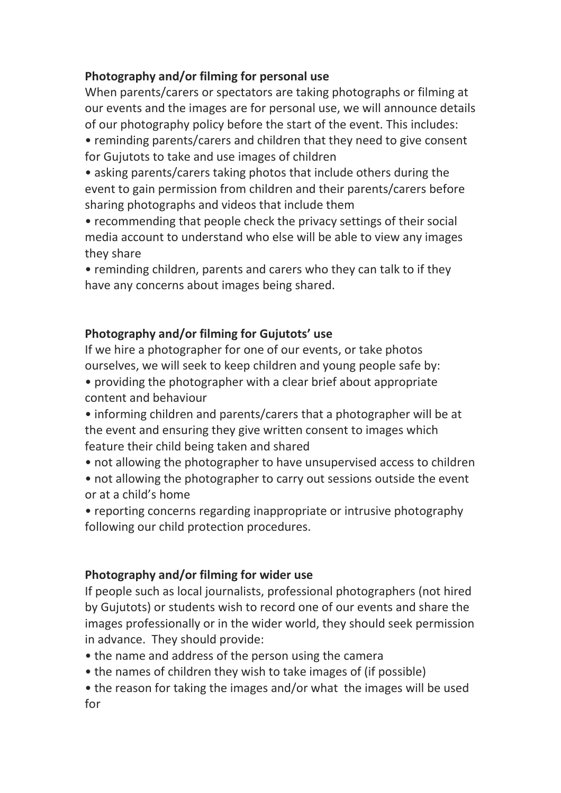# **Photography and/or filming for personal use**

When parents/carers or spectators are taking photographs or filming at our events and the images are for personal use, we will announce details of our photography policy before the start of the event. This includes:

• reminding parents/carers and children that they need to give consent for Gujutots to take and use images of children

• asking parents/carers taking photos that include others during the event to gain permission from children and their parents/carers before sharing photographs and videos that include them

• recommending that people check the privacy settings of their social media account to understand who else will be able to view any images they share

• reminding children, parents and carers who they can talk to if they have any concerns about images being shared.

# **Photography and/or filming for Gujutots' use**

If we hire a photographer for one of our events, or take photos ourselves, we will seek to keep children and young people safe by:

- providing the photographer with a clear brief about appropriate content and behaviour
- informing children and parents/carers that a photographer will be at the event and ensuring they give written consent to images which feature their child being taken and shared
- not allowing the photographer to have unsupervised access to children
- not allowing the photographer to carry out sessions outside the event or at a child's home

• reporting concerns regarding inappropriate or intrusive photography following our child protection procedures.

# **Photography and/or filming for wider use**

If people such as local journalists, professional photographers (not hired by Gujutots) or students wish to record one of our events and share the images professionally or in the wider world, they should seek permission in advance. They should provide:

- the name and address of the person using the camera
- the names of children they wish to take images of (if possible)
- the reason for taking the images and/or what the images will be used for